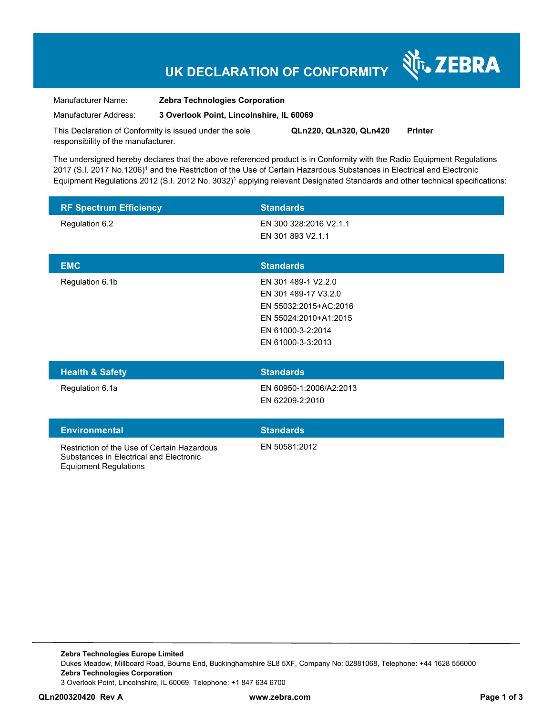## **UK DECLARATION OF CONFORMITY**

र्शे<sub>ि</sub> ZEBRA

Manufacturer Name: **Zebra Technologies Corporation** 

Manufacturer Address: **3 Overlook Point, Lincolnshire, IL 60069** 

This Declaration of Conformity is issued under the sole responsibility of the manufacturer. **QLn220, QLn320, QLn420 Printer** 

The undersigned hereby declares that the above referenced product is in Conformity with the Radio Equipment Regulations 2017 (S.I. 2017 No.1206)<sup>1</sup> and the Restriction of the Use of Certain Hazardous Substances in Electrical and Electronic Equipment Regulations 2012 (S.I. 2012 No. 3032)<sup>1</sup> applying relevant Designated Standards and other technical specifications:

| <b>RF Spectrum Efficiency</b>                                                                                          | <b>Standards</b>                                                                                                                        |
|------------------------------------------------------------------------------------------------------------------------|-----------------------------------------------------------------------------------------------------------------------------------------|
| Regulation 6.2                                                                                                         | EN 300 328:2016 V2.1.1<br>EN 301 893 V2.1.1                                                                                             |
| <b>EMC</b>                                                                                                             | <b>Standards</b>                                                                                                                        |
| Regulation 6.1b                                                                                                        | EN 301 489-1 V2.2.0<br>EN 301 489-17 V3.2.0<br>EN 55032:2015+AC:2016<br>EN 55024:2010+A1:2015<br>EN 61000-3-2:2014<br>EN 61000-3-3:2013 |
| <b>Health &amp; Safety</b>                                                                                             | <b>Standards</b>                                                                                                                        |
| Regulation 6.1a                                                                                                        | EN 60950-1:2006/A2:2013<br>EN 62209-2:2010                                                                                              |
| <b>Environmental</b>                                                                                                   | <b>Standards</b>                                                                                                                        |
| Restriction of the Use of Certain Hazardous<br>Substances in Electrical and Electronic<br><b>Equipment Regulations</b> | EN 50581:2012                                                                                                                           |

**Zebra Technologies Europe Limited**  Dukes Meadow, Millboard Road, Bourne End, Buckinghamshire SL8 5XF, Company No: 02881068, Telephone: +44 1628 556000 **Zebra Technologies Corporation**  3 Overlook Point, Lincolnshire, IL 60069, Telephone: +1 847 634 6700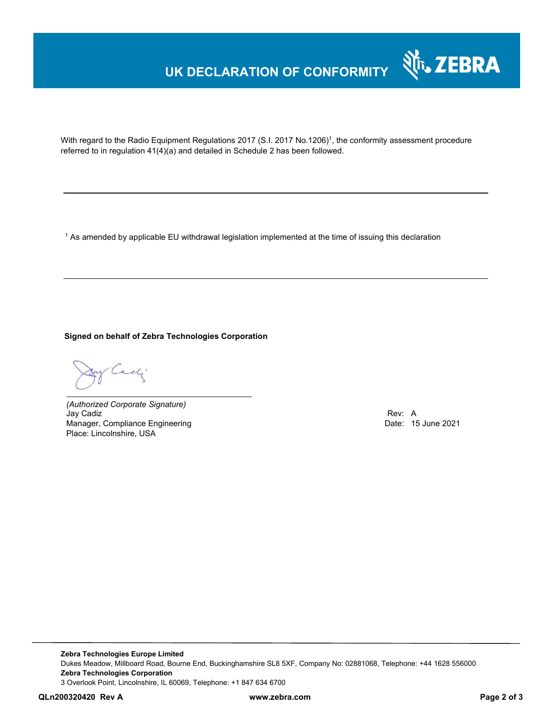## **UK DECLARATION OF CONFORMITY**



With regard to the Radio Equipment Regulations 2017 (S.I. 2017 No.1206)<sup>1</sup>, the conformity assessment procedure referred to in regulation 41(4)(a) and detailed in Schedule 2 has been followed.

 $^{\rm 1}$  As amended by applicable EU withdrawal legislation implemented at the time of issuing this declaration

**Signed on behalf of Zebra Technologies Corporation** 

Cady.

*(Authorized Corporate Signature)* Jay Cadiz Rev: A Manager, Compliance Engineering **Date: 15 June 2021** Place: Lincolnshire, USA